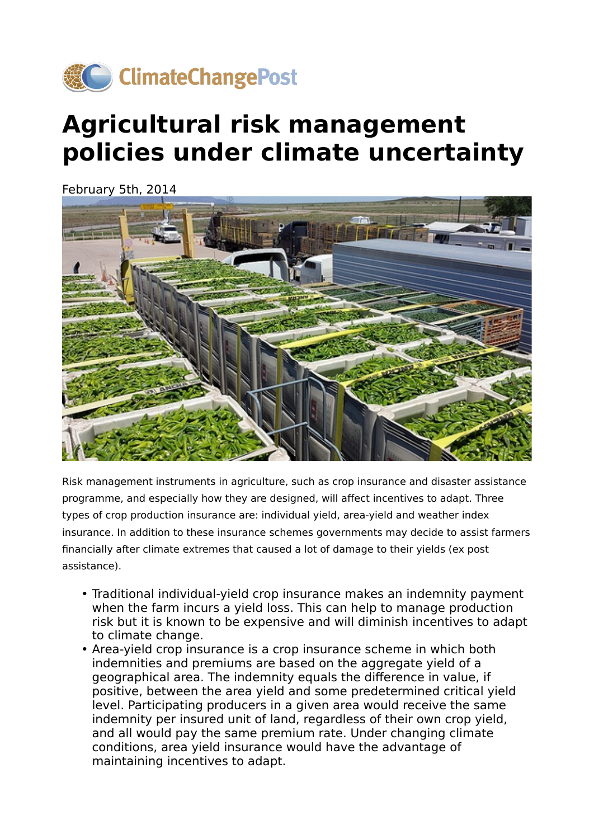

## **Agricultural risk management policies under climate uncertainty**

February 5th, 2014



Risk management instruments in agriculture, such as crop insurance and disaster assistance programme, and especially how they are designed, will affect incentives to adapt. Three types of crop production insurance are: individual yield, area-yield and weather index insurance. In addition to these insurance schemes governments may decide to assist farmers financially after climate extremes that caused a lot of damage to their yields (ex post assistance).

- Traditional individual-yield crop insurance makes an indemnity payment when the farm incurs a yield loss. This can help to manage production risk but it is known to be expensive and will diminish incentives to adapt to climate change.
- Area-yield crop insurance is a crop insurance scheme in which both indemnities and premiums are based on the aggregate yield of a geographical area. The indemnity equals the difference in value, if positive, between the area yield and some predetermined critical yield level. Participating producers in a given area would receive the same indemnity per insured unit of land, regardless of their own crop yield, and all would pay the same premium rate. Under changing climate conditions, area yield insurance would have the advantage of maintaining incentives to adapt.